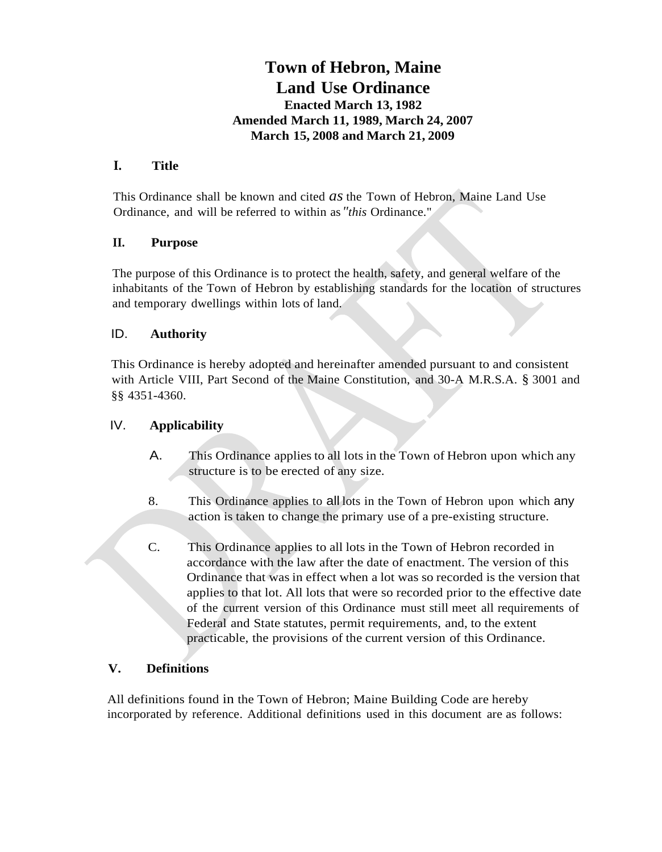# **Town of Hebron, Maine Land Use Ordinance Enacted March 13, 1982 Amended March 11, 1989, March 24, 2007 March 15, 2008 and March 21, 2009**

## **I. Title**

This Ordinance shall be known and cited *as* the Town of Hebron, Maine Land Use Ordinance, and will be referred to within as*"this* Ordinance."

### **II. Purpose**

The purpose of this Ordinance is to protect the health, safety, and general welfare of the inhabitants of the Town of Hebron by establishing standards for the location of structures and temporary dwellings within lots of land.

### ID. **Authority**

This Ordinance is hereby adopted and hereinafter amended pursuant to and consistent with Article VIII, Part Second of the Maine Constitution, and 30-A M.R.S.A. § 3001 and §§ 4351-4360.

## IV. **Applicability**

- A. This Ordinance applies to all lots in the Town of Hebron upon which any structure is to be erected of any size.
- 8. This Ordinance applies to all lots in the Town of Hebron upon which any action is taken to change the primary use of a pre-existing structure.
- C. This Ordinance applies to all lots in the Town of Hebron recorded in accordance with the law after the date of enactment. The version of this Ordinance that was in effect when a lot was so recorded is the version that applies to that lot. All lots that were so recorded prior to the effective date of the current version of this Ordinance must still meet all requirements of Federal and State statutes, permit requirements, and, to the extent practicable, the provisions of the current version of this Ordinance.

#### **V. Definitions**

All definitions found in the Town of Hebron; Maine Building Code are hereby incorporated by reference. Additional definitions used in this document are as follows: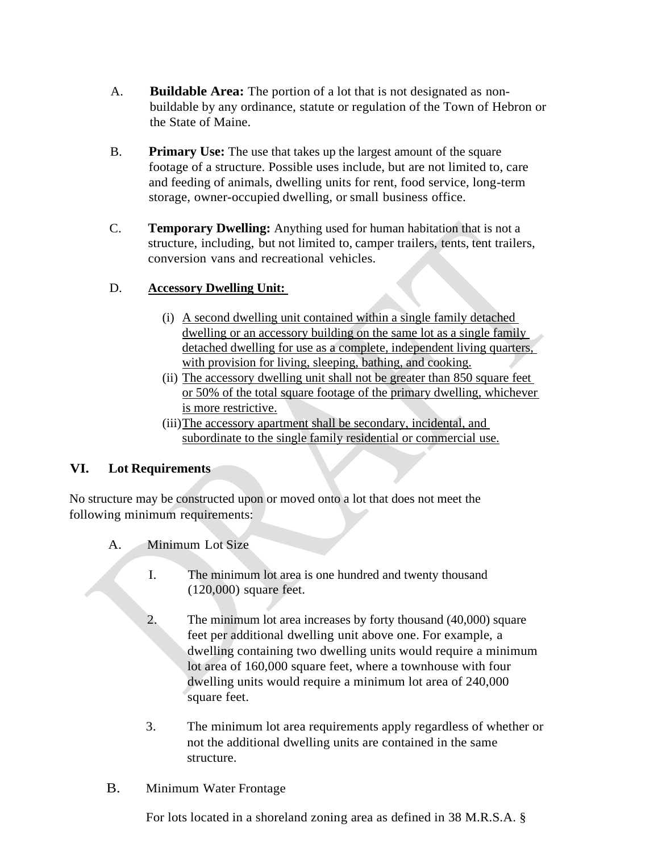- A. **Buildable Area:** The portion of a lot that is not designated as nonbuildable by any ordinance, statute or regulation of the Town of Hebron or the State of Maine.
- B. **Primary Use:** The use that takes up the largest amount of the square footage of a structure. Possible uses include, but are not limited to, care and feeding of animals, dwelling units for rent, food service, long-term storage, owner-occupied dwelling, or small business office.
- C. **Temporary Dwelling:** Anything used for human habitation that is not a structure, including, but not limited to, camper trailers, tents, tent trailers, conversion vans and recreational vehicles.

## D. **Accessory Dwelling Unit:**

- (i) A second dwelling unit contained within a single family detached dwelling or an accessory building on the same lot as a single family detached dwelling for use as a complete, independent living quarters, with provision for living, sleeping, bathing, and cooking.
- (ii) The accessory dwelling unit shall not be greater than 850 square feet or 50% of the total square footage of the primary dwelling, whichever is more restrictive.
- (iii)The accessory apartment shall be secondary, incidental, and subordinate to the single family residential or commercial use.

## **VI. Lot Requirements**

No structure may be constructed upon or moved onto a lot that does not meet the following minimum requirements:

- A. Minimum Lot Size
	- I. The minimum lot area is one hundred and twenty thousand (120,000) square feet.
	- 2. The minimum lot area increases by forty thousand (40,000) square feet per additional dwelling unit above one. For example, a dwelling containing two dwelling units would require a minimum lot area of 160,000 square feet, where a townhouse with four dwelling units would require a minimum lot area of 240,000 square feet.
	- 3. The minimum lot area requirements apply regardless of whether or not the additional dwelling units are contained in the same structure.

## B. Minimum Water Frontage

For lots located in a shoreland zoning area as defined in 38 M.R.S.A. §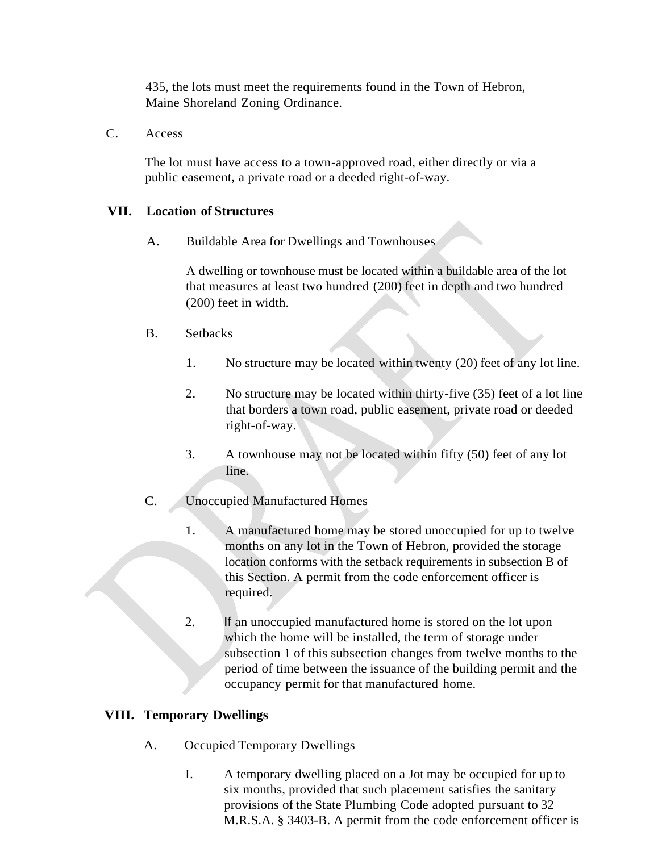435, the lots must meet the requirements found in the Town of Hebron, Maine Shoreland Zoning Ordinance.

C. Access

The lot must have access to a town-approved road, either directly or via a public easement, a private road or a deeded right-of-way.

#### **VII. Location of Structures**

A. Buildable Area for Dwellings and Townhouses

A dwelling or townhouse must be located within a buildable area of the lot that measures at least two hundred (200) feet in depth and two hundred (200) feet in width.

- B. Setbacks
	- 1. No structure may be located within twenty (20) feet of any lot line.
	- 2. No structure may be located within thirty-five (35) feet of a lot line that borders a town road, public easement, private road or deeded right-of-way.
	- 3. A townhouse may not be located within fifty (50) feet of any lot line.
- C. Unoccupied Manufactured Homes
	- 1. A manufactured home may be stored unoccupied for up to twelve months on any lot in the Town of Hebron, provided the storage location conforms with the setback requirements in subsection B of this Section. A permit from the code enforcement officer is required.
	- 2. If an unoccupied manufactured home is stored on the lot upon which the home will be installed, the term of storage under subsection 1 of this subsection changes from twelve months to the period of time between the issuance of the building permit and the occupancy permit for that manufactured home.

#### **VIII. Temporary Dwellings**

- A. Occupied Temporary Dwellings
	- I. A temporary dwelling placed on a Jot may be occupied for up to six months, provided that such placement satisfies the sanitary provisions of the State Plumbing Code adopted pursuant to 32 M.R.S.A. § 3403-B. A permit from the code enforcement officer is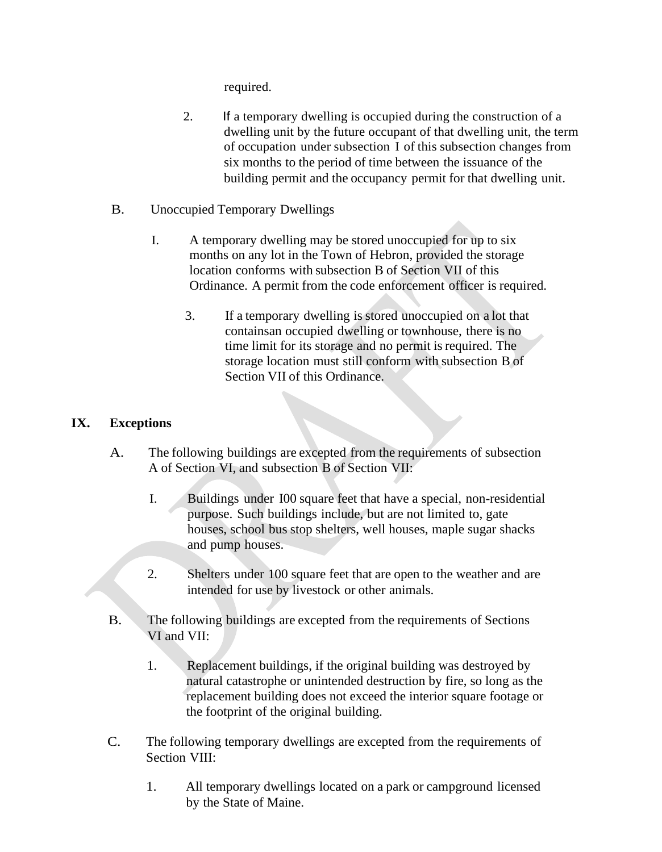required.

- 2. If a temporary dwelling is occupied during the construction of a dwelling unit by the future occupant of that dwelling unit, the term of occupation under subsection I of this subsection changes from six months to the period of time between the issuance of the building permit and the occupancy permit for that dwelling unit.
- B. Unoccupied Temporary Dwellings
	- I. A temporary dwelling may be stored unoccupied for up to six months on any lot in the Town of Hebron, provided the storage location conforms with subsection B of Section VII of this Ordinance. A permit from the code enforcement officer is required.
		- 3. If a temporary dwelling is stored unoccupied on a lot that containsan occupied dwelling or townhouse, there is no time limit for its storage and no permit is required. The storage location must still conform with subsection B of Section VII of this Ordinance.

## **IX. Exceptions**

- A. The following buildings are excepted from the requirements of subsection A of Section VI, and subsection B of Section VII:
	- I. Buildings under I00 square feet that have a special, non-residential purpose. Such buildings include, but are not limited to, gate houses, school bus stop shelters, well houses, maple sugar shacks and pump houses.
	- 2. Shelters under 100 square feet that are open to the weather and are intended for use by livestock or other animals.
- B. The following buildings are excepted from the requirements of Sections VI and VII:
	- 1. Replacement buildings, if the original building was destroyed by natural catastrophe or unintended destruction by fire, so long as the replacement building does not exceed the interior square footage or the footprint of the original building.
- C. The following temporary dwellings are excepted from the requirements of Section VIII:
	- 1. All temporary dwellings located on a park or campground licensed by the State of Maine.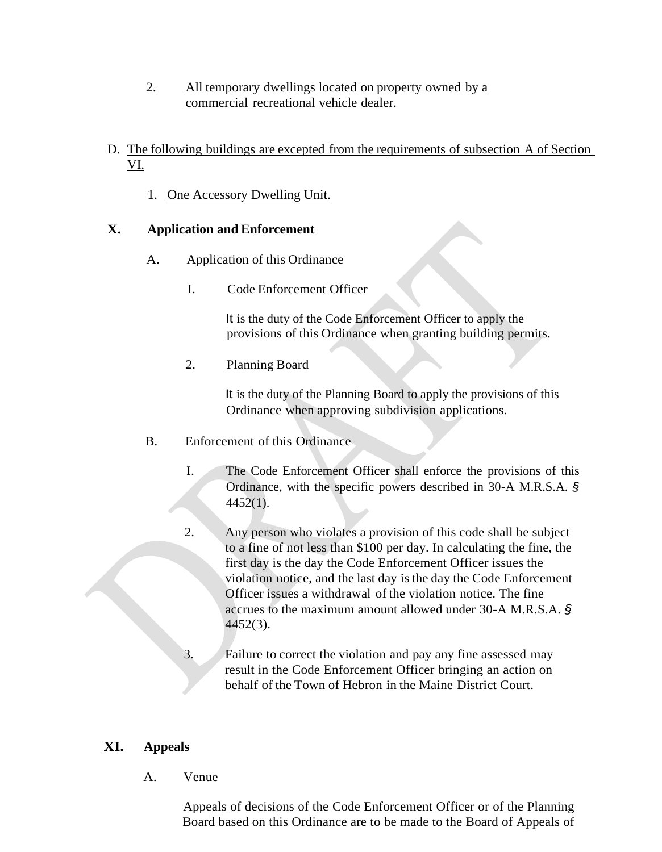- 2. All temporary dwellings located on property owned by a commercial recreational vehicle dealer.
- D. The following buildings are excepted from the requirements of subsection A of Section VI.
	- 1. One Accessory Dwelling Unit.

## **X. Application and Enforcement**

- A. Application of this Ordinance
	- I. Code Enforcement Officer

It is the duty of the Code Enforcement Officer to apply the provisions of this Ordinance when granting building permits.

2. Planning Board

It is the duty of the Planning Board to apply the provisions of this Ordinance when approving subdivision applications.

- B. Enforcement of this Ordinance
	- I. The Code Enforcement Officer shall enforce the provisions of this Ordinance, with the specific powers described in 30-A M.R.S.A. *§* 4452(1).
	- 2. Any person who violates a provision of this code shall be subject to a fine of not less than \$100 per day. In calculating the fine, the first day is the day the Code Enforcement Officer issues the violation notice, and the last day is the day the Code Enforcement Officer issues a withdrawal of the violation notice. The fine accrues to the maximum amount allowed under 30-A M.R.S.A. *§* 4452(3).
	- 3. Failure to correct the violation and pay any fine assessed may result in the Code Enforcement Officer bringing an action on behalf of the Town of Hebron in the Maine District Court.

## **XI. Appeals**

A. Venue

Appeals of decisions of the Code Enforcement Officer or of the Planning Board based on this Ordinance are to be made to the Board of Appeals of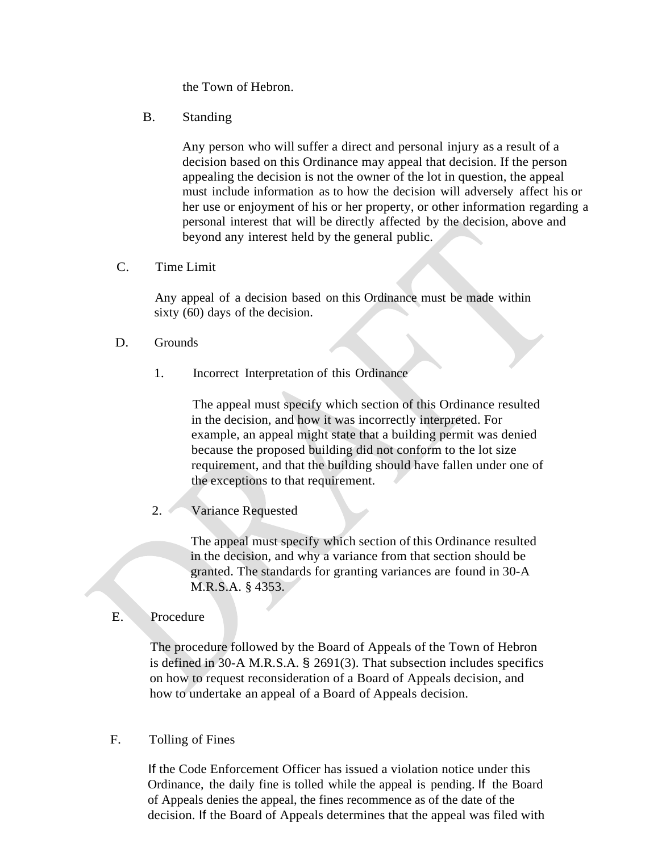the Town of Hebron.

B. Standing

Any person who will suffer a direct and personal injury as a result of a decision based on this Ordinance may appeal that decision. If the person appealing the decision is not the owner of the lot in question, the appeal must include information as to how the decision will adversely affect his or her use or enjoyment of his or her property, or other information regarding a personal interest that will be directly affected by the decision, above and beyond any interest held by the general public.

C. Time Limit

Any appeal of a decision based on this Ordinance must be made within sixty (60) days of the decision.

- D. Grounds
	- 1. Incorrect Interpretation of this Ordinance

The appeal must specify which section of this Ordinance resulted in the decision, and how it was incorrectly interpreted. For example, an appeal might state that a building permit was denied because the proposed building did not conform to the lot size requirement, and that the building should have fallen under one of the exceptions to that requirement.

2. Variance Requested

The appeal must specify which section of this Ordinance resulted in the decision, and why a variance from that section should be granted. The standards for granting variances are found in 30-A M.R.S.A. § 4353.

E. Procedure

The procedure followed by the Board of Appeals of the Town of Hebron is defined in 30-A M.R.S.A. § 2691(3). That subsection includes specifics on how to request reconsideration of a Board of Appeals decision, and how to undertake an appeal of a Board of Appeals decision.

F. Tolling of Fines

If the Code Enforcement Officer has issued a violation notice under this Ordinance, the daily fine is tolled while the appeal is pending. If the Board of Appeals denies the appeal, the fines recommence as of the date of the decision. If the Board of Appeals determines that the appeal was filed with